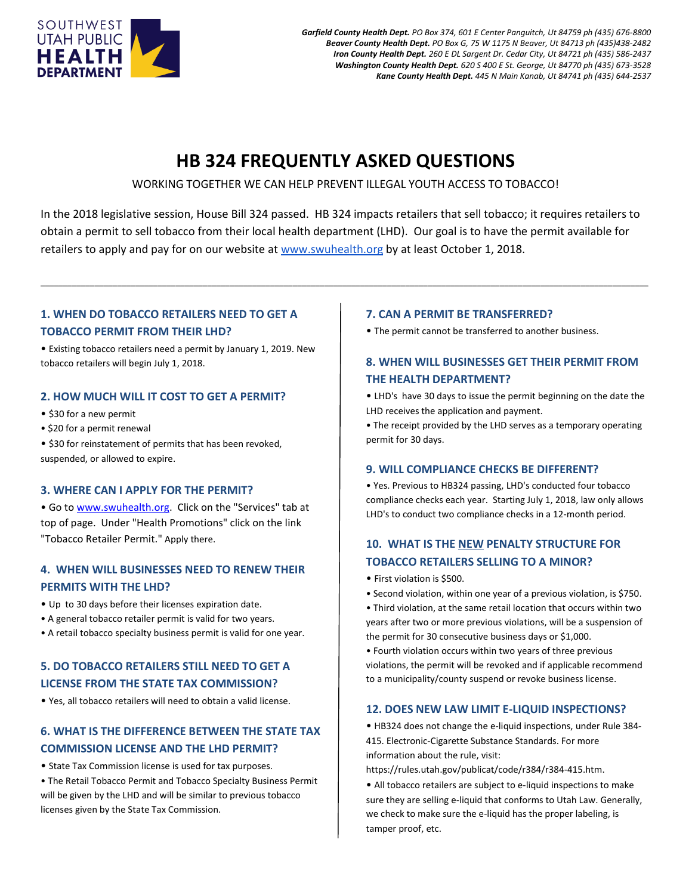

*Garfield County Health Dept. PO Box 374, 601 E Center Panguitch, Ut 84759 ph (435) 676-8800 Beaver County Health Dept. PO Box G, 75 W 1175 N Beaver, Ut 84713 ph (435)438-2482 Iron County Health Dept. 260 E DL Sargent Dr. Cedar City, Ut 84721 ph (435) 586-2437 Washington County Health Dept. 620 S 400 E St. George, Ut 84770 ph (435) 673-3528 Kane County Health Dept. 445 N Main Kanab, Ut 84741 ph (435) 644-2537*

# **HB 324 FREQUENTLY ASKED QUESTIONS**

WORKING TOGETHER WE CAN HELP PREVENT ILLEGAL YOUTH ACCESS TO TOBACCO!

In the 2018 legislative session, House Bill 324 passed. HB 324 impacts retailers that sell tobacco; it requires retailers to obtain a permit to sell tobacco from their local health department (LHD). Our goal is to have the permit available for retailers to apply and pay for on our website a[t www.swuhealth.org](http://www.swuhealth.org/) by at least October 1, 2018.

\_\_\_\_\_\_\_\_\_\_\_\_\_\_\_\_\_\_\_\_\_\_\_\_\_\_\_\_\_\_\_\_\_\_\_\_\_\_\_\_\_\_\_\_\_\_\_\_\_\_\_\_\_\_\_\_\_\_\_\_\_\_\_\_\_\_\_\_\_\_\_\_\_\_\_\_\_\_\_\_\_\_\_\_\_\_\_\_\_\_\_\_\_\_\_\_\_\_\_\_\_\_\_\_\_\_\_\_\_\_\_\_\_\_\_\_\_\_\_\_\_\_\_\_\_\_\_\_\_\_\_\_\_\_\_

## **1. WHEN DO TOBACCO RETAILERS NEED TO GET A TOBACCO PERMIT FROM THEIR LHD?**

• Existing tobacco retailers need a permit by January 1, 2019. New tobacco retailers will begin July 1, 2018.

### **2. HOW MUCH WILL IT COST TO GET A PERMIT?**

- \$30 for a new permit
- \$20 for a permit renewal

• \$30 for reinstatement of permits that has been revoked, suspended, or allowed to expire.

#### **3. WHERE CAN I APPLY FOR THE PERMIT?**

• Go to [www.swuhealth.org.](http://www.swuhealth.org/) Click on the "Services" tab at top of page. Under "Health Promotions" click on the link "Tobacco Retailer Permit." Apply there.

## **4. WHEN WILL BUSINESSES NEED TO RENEW THEIR PERMITS WITH THE LHD?**

- Up to 30 days before their licenses expiration date.
- A general tobacco retailer permit is valid for two years.
- A retail tobacco specialty business permit is valid for one year.

# **5. DO TOBACCO RETAILERS STILL NEED TO GET A LICENSE FROM THE STATE TAX COMMISSION?**

• Yes, all tobacco retailers will need to obtain a valid license.

## **6. WHAT IS THE DIFFERENCE BETWEEN THE STATE TAX COMMISSION LICENSE AND THE LHD PERMIT?**

- State Tax Commission license is used for tax purposes.
- The Retail Tobacco Permit and Tobacco Specialty Business Permit will be given by the LHD and will be similar to previous tobacco licenses given by the State Tax Commission.

#### **7. CAN A PERMIT BE TRANSFERRED?**

• The permit cannot be transferred to another business.

## **8. WHEN WILL BUSINESSES GET THEIR PERMIT FROM THE HEALTH DEPARTMENT?**

• LHD's have 30 days to issue the permit beginning on the date the LHD receives the application and payment.

• The receipt provided by the LHD serves as a temporary operating permit for 30 days.

#### **9. WILL COMPLIANCE CHECKS BE DIFFERENT?**

• Yes. Previous to HB324 passing, LHD's conducted four tobacco compliance checks each year. Starting July 1, 2018, law only allows LHD's to conduct two compliance checks in a 12-month period.

## **10. WHAT IS THE NEW PENALTY STRUCTURE FOR TOBACCO RETAILERS SELLING TO A MINOR?**

- First violation is \$500.
- Second violation, within one year of a previous violation, is \$750.
- Third violation, at the same retail location that occurs within two years after two or more previous violations, will be a suspension of the permit for 30 consecutive business days or \$1,000.

• Fourth violation occurs within two years of three previous violations, the permit will be revoked and if applicable recommend to a municipality/county suspend or revoke business license.

#### **12. DOES NEW LAW LIMIT E-LIQUID INSPECTIONS?**

• HB324 does not change the e-liquid inspections, under Rule 384- 415. Electronic-Cigarette Substance Standards. For more information about the rule, visit:

https://rules.utah.gov/publicat/code/r384/r384-415.htm.

• All tobacco retailers are subject to e-liquid inspections to make sure they are selling e-liquid that conforms to Utah Law. Generally, we check to make sure the e-liquid has the proper labeling, is tamper proof, etc.